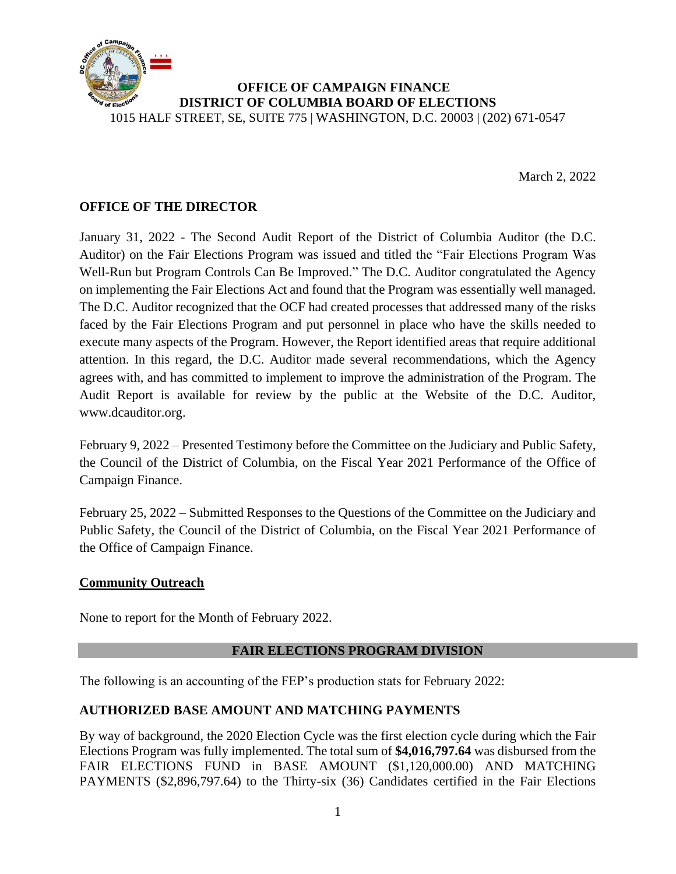

#### **OFFICE OF CAMPAIGN FINANCE DISTRICT OF COLUMBIA BOARD OF ELECTIONS** 1015 HALF STREET, SE, SUITE 775 | WASHINGTON, D.C. 20003 | (202) 671-0547

March 2, 2022

## **OFFICE OF THE DIRECTOR**

January 31, 2022 - The Second Audit Report of the District of Columbia Auditor (the D.C. Auditor) on the Fair Elections Program was issued and titled the "Fair Elections Program Was Well-Run but Program Controls Can Be Improved." The D.C. Auditor congratulated the Agency on implementing the Fair Elections Act and found that the Program was essentially well managed. The D.C. Auditor recognized that the OCF had created processes that addressed many of the risks faced by the Fair Elections Program and put personnel in place who have the skills needed to execute many aspects of the Program. However, the Report identified areas that require additional attention. In this regard, the D.C. Auditor made several recommendations, which the Agency agrees with, and has committed to implement to improve the administration of the Program. The Audit Report is available for review by the public at the Website of the D.C. Auditor, www.dcauditor.org.

February 9, 2022 – Presented Testimony before the Committee on the Judiciary and Public Safety, the Council of the District of Columbia, on the Fiscal Year 2021 Performance of the Office of Campaign Finance.

February 25, 2022 – Submitted Responses to the Questions of the Committee on the Judiciary and Public Safety, the Council of the District of Columbia, on the Fiscal Year 2021 Performance of the Office of Campaign Finance.

#### **Community Outreach**

None to report for the Month of February 2022.

## **FAIR ELECTIONS PROGRAM DIVISION**

The following is an accounting of the FEP's production stats for February 2022:

## **AUTHORIZED BASE AMOUNT AND MATCHING PAYMENTS**

By way of background, the 2020 Election Cycle was the first election cycle during which the Fair Elections Program was fully implemented. The total sum of **\$4,016,797.64** was disbursed from the FAIR ELECTIONS FUND in BASE AMOUNT (\$1,120,000.00) AND MATCHING PAYMENTS (\$2,896,797.64) to the Thirty-six (36) Candidates certified in the Fair Elections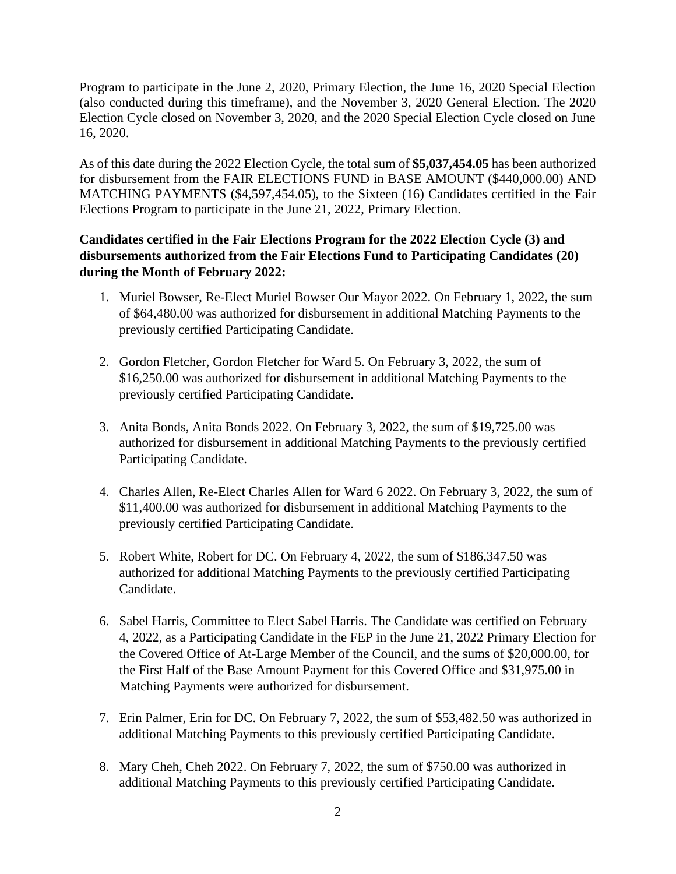Program to participate in the June 2, 2020, Primary Election, the June 16, 2020 Special Election (also conducted during this timeframe), and the November 3, 2020 General Election. The 2020 Election Cycle closed on November 3, 2020, and the 2020 Special Election Cycle closed on June 16, 2020.

As of this date during the 2022 Election Cycle, the total sum of **\$5,037,454.05** has been authorized for disbursement from the FAIR ELECTIONS FUND in BASE AMOUNT (\$440,000.00) AND MATCHING PAYMENTS (\$4,597,454.05), to the Sixteen (16) Candidates certified in the Fair Elections Program to participate in the June 21, 2022, Primary Election.

## **Candidates certified in the Fair Elections Program for the 2022 Election Cycle (3) and disbursements authorized from the Fair Elections Fund to Participating Candidates (20) during the Month of February 2022:**

- 1. Muriel Bowser, Re-Elect Muriel Bowser Our Mayor 2022. On February 1, 2022, the sum of \$64,480.00 was authorized for disbursement in additional Matching Payments to the previously certified Participating Candidate.
- 2. Gordon Fletcher, Gordon Fletcher for Ward 5. On February 3, 2022, the sum of \$16,250.00 was authorized for disbursement in additional Matching Payments to the previously certified Participating Candidate.
- 3. Anita Bonds, Anita Bonds 2022. On February 3, 2022, the sum of \$19,725.00 was authorized for disbursement in additional Matching Payments to the previously certified Participating Candidate.
- 4. Charles Allen, Re-Elect Charles Allen for Ward 6 2022. On February 3, 2022, the sum of \$11,400.00 was authorized for disbursement in additional Matching Payments to the previously certified Participating Candidate.
- 5. Robert White, Robert for DC. On February 4, 2022, the sum of \$186,347.50 was authorized for additional Matching Payments to the previously certified Participating Candidate.
- 6. Sabel Harris, Committee to Elect Sabel Harris. The Candidate was certified on February 4, 2022, as a Participating Candidate in the FEP in the June 21, 2022 Primary Election for the Covered Office of At-Large Member of the Council, and the sums of \$20,000.00, for the First Half of the Base Amount Payment for this Covered Office and \$31,975.00 in Matching Payments were authorized for disbursement.
- 7. Erin Palmer, Erin for DC. On February 7, 2022, the sum of \$53,482.50 was authorized in additional Matching Payments to this previously certified Participating Candidate.
- 8. Mary Cheh, Cheh 2022. On February 7, 2022, the sum of \$750.00 was authorized in additional Matching Payments to this previously certified Participating Candidate.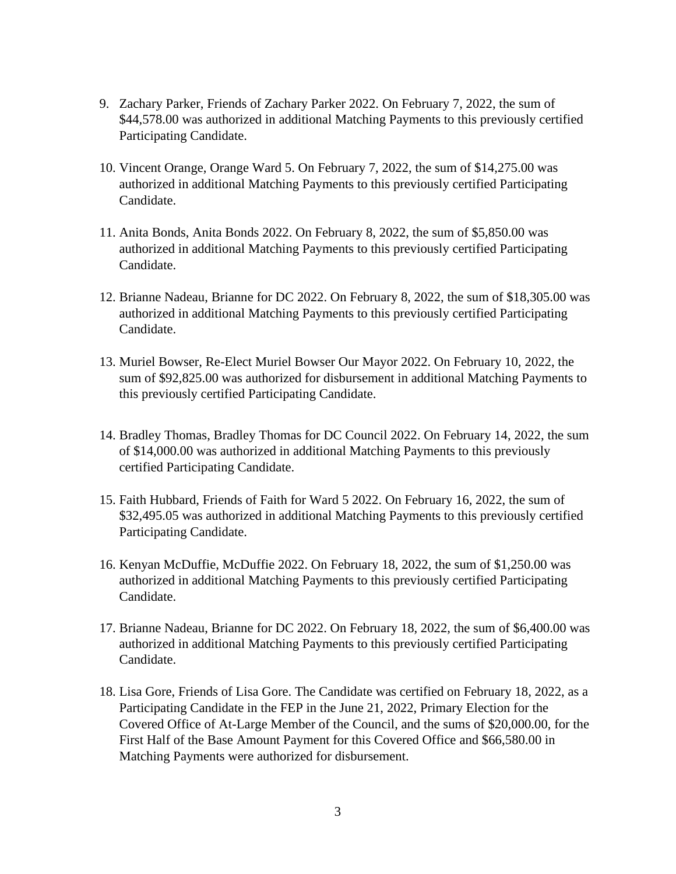- 9. Zachary Parker, Friends of Zachary Parker 2022. On February 7, 2022, the sum of \$44,578.00 was authorized in additional Matching Payments to this previously certified Participating Candidate.
- 10. Vincent Orange, Orange Ward 5. On February 7, 2022, the sum of \$14,275.00 was authorized in additional Matching Payments to this previously certified Participating Candidate.
- 11. Anita Bonds, Anita Bonds 2022. On February 8, 2022, the sum of \$5,850.00 was authorized in additional Matching Payments to this previously certified Participating Candidate.
- 12. Brianne Nadeau, Brianne for DC 2022. On February 8, 2022, the sum of \$18,305.00 was authorized in additional Matching Payments to this previously certified Participating Candidate.
- 13. Muriel Bowser, Re-Elect Muriel Bowser Our Mayor 2022. On February 10, 2022, the sum of \$92,825.00 was authorized for disbursement in additional Matching Payments to this previously certified Participating Candidate.
- 14. Bradley Thomas, Bradley Thomas for DC Council 2022. On February 14, 2022, the sum of \$14,000.00 was authorized in additional Matching Payments to this previously certified Participating Candidate.
- 15. Faith Hubbard, Friends of Faith for Ward 5 2022. On February 16, 2022, the sum of \$32,495.05 was authorized in additional Matching Payments to this previously certified Participating Candidate.
- 16. Kenyan McDuffie, McDuffie 2022. On February 18, 2022, the sum of \$1,250.00 was authorized in additional Matching Payments to this previously certified Participating Candidate.
- 17. Brianne Nadeau, Brianne for DC 2022. On February 18, 2022, the sum of \$6,400.00 was authorized in additional Matching Payments to this previously certified Participating Candidate.
- 18. Lisa Gore, Friends of Lisa Gore. The Candidate was certified on February 18, 2022, as a Participating Candidate in the FEP in the June 21, 2022, Primary Election for the Covered Office of At-Large Member of the Council, and the sums of \$20,000.00, for the First Half of the Base Amount Payment for this Covered Office and \$66,580.00 in Matching Payments were authorized for disbursement.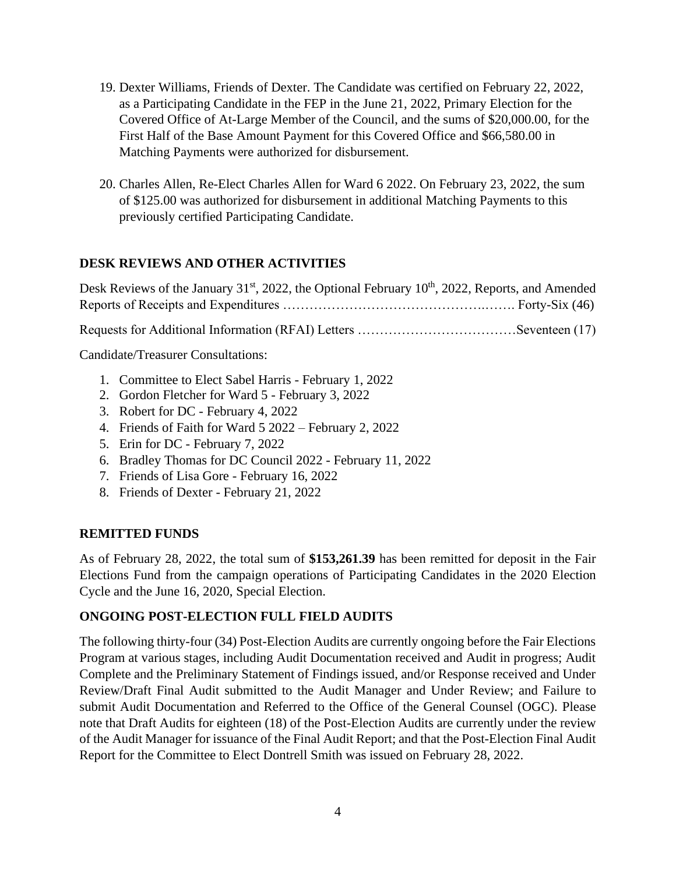- 19. Dexter Williams, Friends of Dexter. The Candidate was certified on February 22, 2022, as a Participating Candidate in the FEP in the June 21, 2022, Primary Election for the Covered Office of At-Large Member of the Council, and the sums of \$20,000.00, for the First Half of the Base Amount Payment for this Covered Office and \$66,580.00 in Matching Payments were authorized for disbursement.
- 20. Charles Allen, Re-Elect Charles Allen for Ward 6 2022. On February 23, 2022, the sum of \$125.00 was authorized for disbursement in additional Matching Payments to this previously certified Participating Candidate.

## **DESK REVIEWS AND OTHER ACTIVITIES**

Desk Reviews of the January 31<sup>st</sup>, 2022, the Optional February 10<sup>th</sup>, 2022, Reports, and Amended Reports of Receipts and Expenditures ……………………………………….……. Forty-Six (46) Requests for Additional Information (RFAI) Letters ………………………………Seventeen (17)

Candidate/Treasurer Consultations:

- 1. Committee to Elect Sabel Harris February 1, 2022
- 2. Gordon Fletcher for Ward 5 February 3, 2022
- 3. Robert for DC February 4, 2022
- 4. Friends of Faith for Ward 5 2022 February 2, 2022
- 5. Erin for DC February 7, 2022
- 6. Bradley Thomas for DC Council 2022 February 11, 2022
- 7. Friends of Lisa Gore February 16, 2022
- 8. Friends of Dexter February 21, 2022

## **REMITTED FUNDS**

As of February 28, 2022, the total sum of **\$153,261.39** has been remitted for deposit in the Fair Elections Fund from the campaign operations of Participating Candidates in the 2020 Election Cycle and the June 16, 2020, Special Election.

## **ONGOING POST-ELECTION FULL FIELD AUDITS**

The following thirty-four (34) Post-Election Audits are currently ongoing before the Fair Elections Program at various stages, including Audit Documentation received and Audit in progress; Audit Complete and the Preliminary Statement of Findings issued, and/or Response received and Under Review/Draft Final Audit submitted to the Audit Manager and Under Review; and Failure to submit Audit Documentation and Referred to the Office of the General Counsel (OGC). Please note that Draft Audits for eighteen (18) of the Post-Election Audits are currently under the review of the Audit Manager for issuance of the Final Audit Report; and that the Post-Election Final Audit Report for the Committee to Elect Dontrell Smith was issued on February 28, 2022.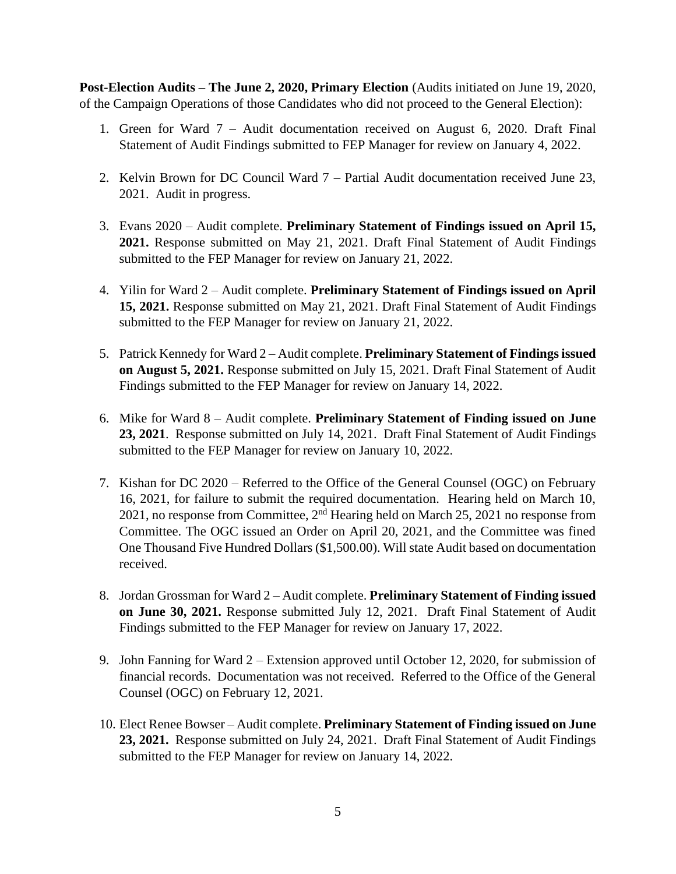**Post-Election Audits – The June 2, 2020, Primary Election** (Audits initiated on June 19, 2020, of the Campaign Operations of those Candidates who did not proceed to the General Election):

- 1. Green for Ward 7 Audit documentation received on August 6, 2020. Draft Final Statement of Audit Findings submitted to FEP Manager for review on January 4, 2022.
- 2. Kelvin Brown for DC Council Ward 7 Partial Audit documentation received June 23, 2021. Audit in progress.
- 3. Evans 2020 Audit complete. **Preliminary Statement of Findings issued on April 15, 2021.** Response submitted on May 21, 2021. Draft Final Statement of Audit Findings submitted to the FEP Manager for review on January 21, 2022.
- 4. Yilin for Ward 2 Audit complete. **Preliminary Statement of Findings issued on April 15, 2021.** Response submitted on May 21, 2021. Draft Final Statement of Audit Findings submitted to the FEP Manager for review on January 21, 2022.
- 5. Patrick Kennedy for Ward 2 Audit complete. **Preliminary Statement of Findings issued on August 5, 2021.** Response submitted on July 15, 2021. Draft Final Statement of Audit Findings submitted to the FEP Manager for review on January 14, 2022.
- 6. Mike for Ward 8 Audit complete. **Preliminary Statement of Finding issued on June 23, 2021**.Response submitted on July 14, 2021. Draft Final Statement of Audit Findings submitted to the FEP Manager for review on January 10, 2022.
- 7. Kishan for DC 2020 Referred to the Office of the General Counsel (OGC) on February 16, 2021, for failure to submit the required documentation. Hearing held on March 10, 2021, no response from Committee,  $2<sup>nd</sup>$  Hearing held on March 25, 2021 no response from Committee. The OGC issued an Order on April 20, 2021, and the Committee was fined One Thousand Five Hundred Dollars (\$1,500.00). Will state Audit based on documentation received.
- 8. Jordan Grossman for Ward 2 Audit complete. **Preliminary Statement of Finding issued on June 30, 2021.** Response submitted July 12, 2021. Draft Final Statement of Audit Findings submitted to the FEP Manager for review on January 17, 2022.
- 9. John Fanning for Ward 2 Extension approved until October 12, 2020, for submission of financial records. Documentation was not received. Referred to the Office of the General Counsel (OGC) on February 12, 2021.
- 10. Elect Renee Bowser Audit complete. **Preliminary Statement of Finding issued on June 23, 2021.** Response submitted on July 24, 2021. Draft Final Statement of Audit Findings submitted to the FEP Manager for review on January 14, 2022.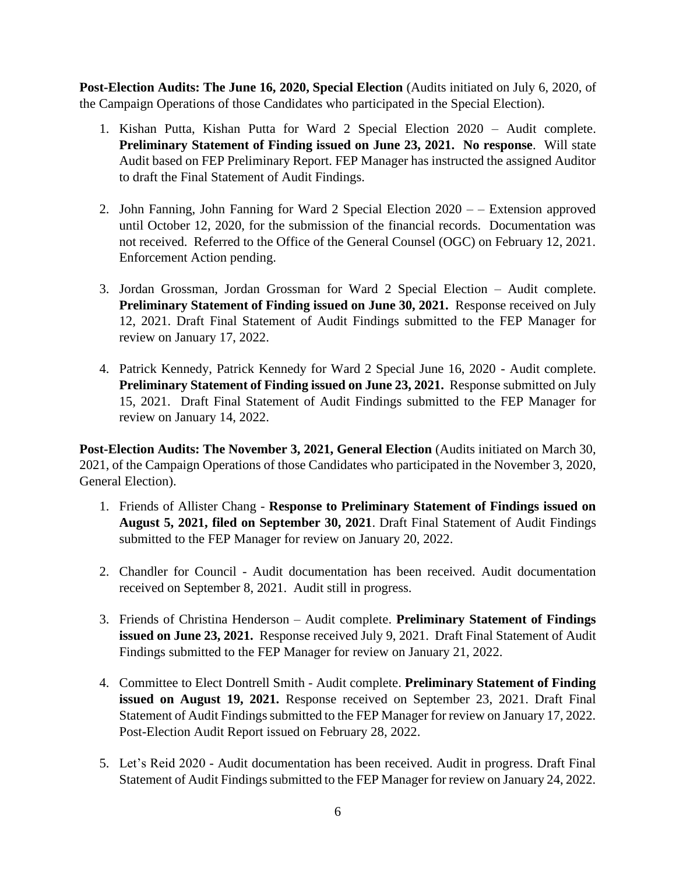**Post-Election Audits: The June 16, 2020, Special Election** (Audits initiated on July 6, 2020, of the Campaign Operations of those Candidates who participated in the Special Election).

- 1. Kishan Putta, Kishan Putta for Ward 2 Special Election 2020 Audit complete. **Preliminary Statement of Finding issued on June 23, 2021. No response**. Will state Audit based on FEP Preliminary Report. FEP Manager has instructed the assigned Auditor to draft the Final Statement of Audit Findings.
- 2. John Fanning, John Fanning for Ward 2 Special Election 2020 – Extension approved until October 12, 2020, for the submission of the financial records. Documentation was not received. Referred to the Office of the General Counsel (OGC) on February 12, 2021. Enforcement Action pending.
- 3. Jordan Grossman, Jordan Grossman for Ward 2 Special Election Audit complete. **Preliminary Statement of Finding issued on June 30, 2021.** Response received on July 12, 2021. Draft Final Statement of Audit Findings submitted to the FEP Manager for review on January 17, 2022.
- 4. Patrick Kennedy, Patrick Kennedy for Ward 2 Special June 16, 2020 Audit complete. **Preliminary Statement of Finding issued on June 23, 2021.** Response submitted on July 15, 2021. Draft Final Statement of Audit Findings submitted to the FEP Manager for review on January 14, 2022.

**Post-Election Audits: The November 3, 2021, General Election** (Audits initiated on March 30, 2021, of the Campaign Operations of those Candidates who participated in the November 3, 2020, General Election).

- 1. Friends of Allister Chang **Response to Preliminary Statement of Findings issued on August 5, 2021, filed on September 30, 2021**. Draft Final Statement of Audit Findings submitted to the FEP Manager for review on January 20, 2022.
- 2. Chandler for Council Audit documentation has been received. Audit documentation received on September 8, 2021. Audit still in progress.
- 3. Friends of Christina Henderson Audit complete. **Preliminary Statement of Findings issued on June 23, 2021.** Response received July 9, 2021. Draft Final Statement of Audit Findings submitted to the FEP Manager for review on January 21, 2022.
- 4. Committee to Elect Dontrell Smith Audit complete. **Preliminary Statement of Finding issued on August 19, 2021.** Response received on September 23, 2021. Draft Final Statement of Audit Findings submitted to the FEP Manager for review on January 17, 2022. Post-Election Audit Report issued on February 28, 2022.
- 5. Let's Reid 2020 Audit documentation has been received. Audit in progress. Draft Final Statement of Audit Findings submitted to the FEP Manager for review on January 24, 2022.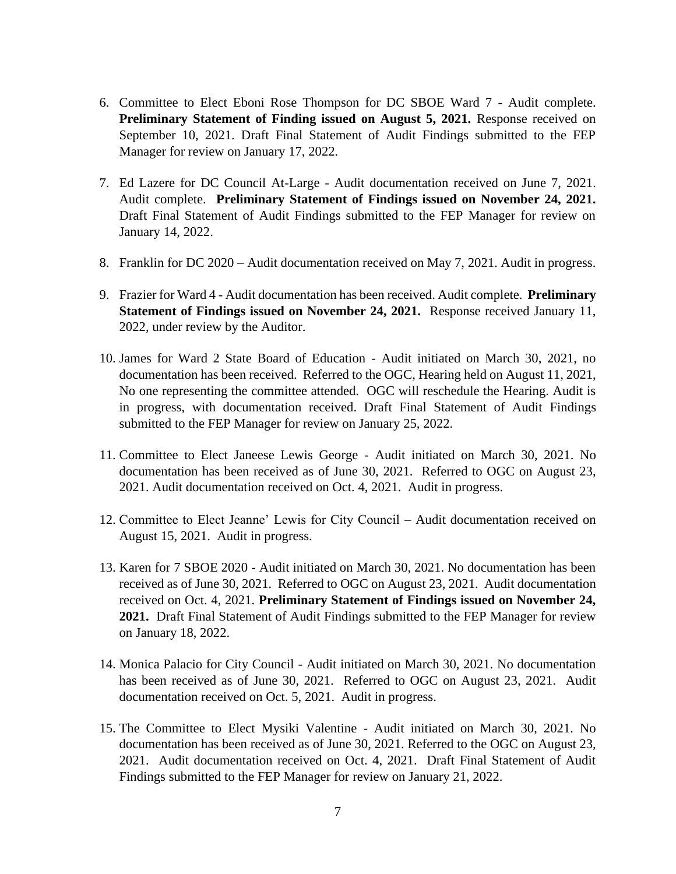- 6. Committee to Elect Eboni Rose Thompson for DC SBOE Ward 7 Audit complete. **Preliminary Statement of Finding issued on August 5, 2021.** Response received on September 10, 2021. Draft Final Statement of Audit Findings submitted to the FEP Manager for review on January 17, 2022.
- 7. Ed Lazere for DC Council At-Large Audit documentation received on June 7, 2021. Audit complete. **Preliminary Statement of Findings issued on November 24, 2021.**  Draft Final Statement of Audit Findings submitted to the FEP Manager for review on January 14, 2022.
- 8. Franklin for DC 2020 Audit documentation received on May 7, 2021. Audit in progress.
- 9. Frazier for Ward 4 Audit documentation has been received. Audit complete. **Preliminary Statement of Findings issued on November 24, 2021.** Response received January 11, 2022, under review by the Auditor.
- 10. James for Ward 2 State Board of Education Audit initiated on March 30, 2021, no documentation has been received. Referred to the OGC, Hearing held on August 11, 2021, No one representing the committee attended. OGC will reschedule the Hearing. Audit is in progress, with documentation received. Draft Final Statement of Audit Findings submitted to the FEP Manager for review on January 25, 2022.
- 11. Committee to Elect Janeese Lewis George Audit initiated on March 30, 2021. No documentation has been received as of June 30, 2021. Referred to OGC on August 23, 2021. Audit documentation received on Oct. 4, 2021. Audit in progress.
- 12. Committee to Elect Jeanne' Lewis for City Council Audit documentation received on August 15, 2021. Audit in progress.
- 13. Karen for 7 SBOE 2020 Audit initiated on March 30, 2021. No documentation has been received as of June 30, 2021. Referred to OGC on August 23, 2021. Audit documentation received on Oct. 4, 2021. **Preliminary Statement of Findings issued on November 24, 2021.** Draft Final Statement of Audit Findings submitted to the FEP Manager for review on January 18, 2022.
- 14. Monica Palacio for City Council Audit initiated on March 30, 2021. No documentation has been received as of June 30, 2021. Referred to OGC on August 23, 2021. Audit documentation received on Oct. 5, 2021. Audit in progress.
- 15. The Committee to Elect Mysiki Valentine Audit initiated on March 30, 2021. No documentation has been received as of June 30, 2021. Referred to the OGC on August 23, 2021. Audit documentation received on Oct. 4, 2021. Draft Final Statement of Audit Findings submitted to the FEP Manager for review on January 21, 2022.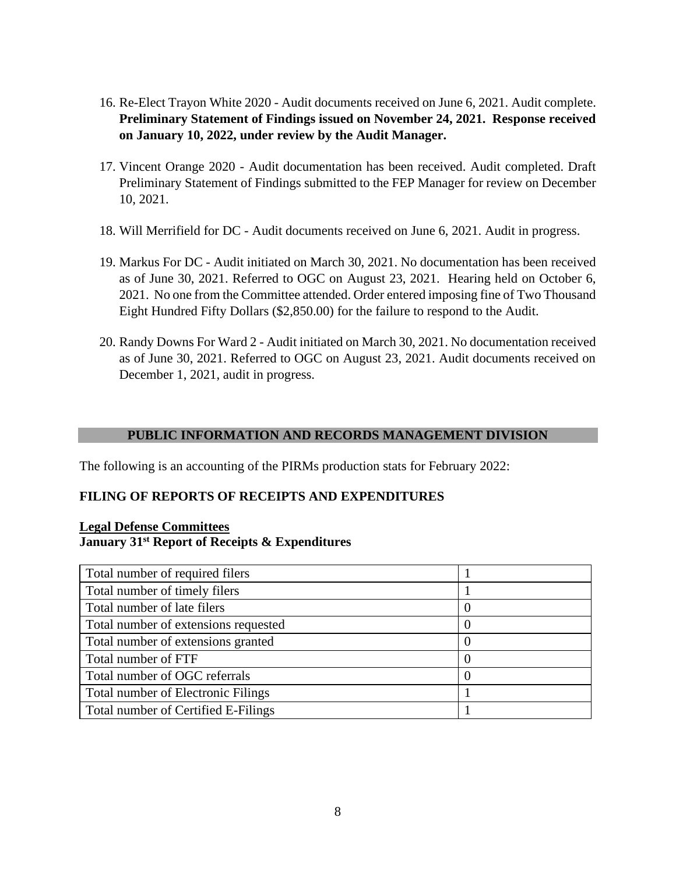- 16. Re-Elect Trayon White 2020 Audit documents received on June 6, 2021. Audit complete. **Preliminary Statement of Findings issued on November 24, 2021. Response received on January 10, 2022, under review by the Audit Manager.**
- 17. Vincent Orange 2020 Audit documentation has been received. Audit completed. Draft Preliminary Statement of Findings submitted to the FEP Manager for review on December 10, 2021.
- 18. Will Merrifield for DC Audit documents received on June 6, 2021. Audit in progress.
- 19. Markus For DC Audit initiated on March 30, 2021. No documentation has been received as of June 30, 2021. Referred to OGC on August 23, 2021. Hearing held on October 6, 2021. No one from the Committee attended. Order entered imposing fine of Two Thousand Eight Hundred Fifty Dollars (\$2,850.00) for the failure to respond to the Audit.
- 20. Randy Downs For Ward 2 Audit initiated on March 30, 2021. No documentation received as of June 30, 2021. Referred to OGC on August 23, 2021. Audit documents received on December 1, 2021, audit in progress.

## **PUBLIC INFORMATION AND RECORDS MANAGEMENT DIVISION**

The following is an accounting of the PIRMs production stats for February 2022:

## **FILING OF REPORTS OF RECEIPTS AND EXPENDITURES**

## **Legal Defense Committees January 31st Report of Receipts & Expenditures**

| Total number of required filers           |   |
|-------------------------------------------|---|
| Total number of timely filers             |   |
| Total number of late filers               | O |
| Total number of extensions requested      |   |
| Total number of extensions granted        |   |
| Total number of FTF                       |   |
| Total number of OGC referrals             |   |
| <b>Total number of Electronic Filings</b> |   |
| Total number of Certified E-Filings       |   |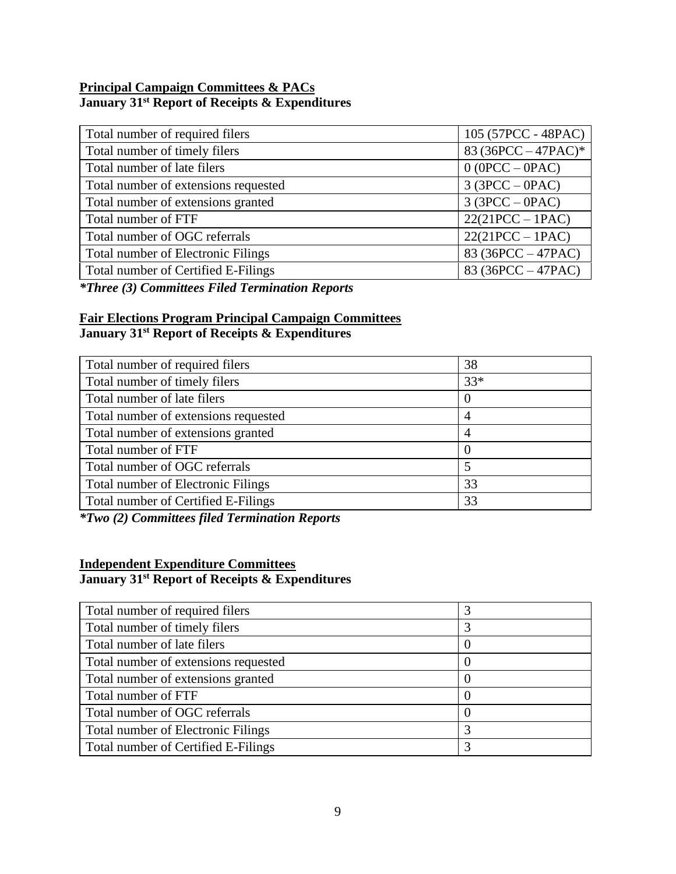## **Principal Campaign Committees & PACs January 31st Report of Receipts & Expenditures**

| 105 (57PCC - 48PAC)   |
|-----------------------|
| 83 (36PCC $-47$ PAC)* |
| $0 (OPCC - OPAC)$     |
| $3 (3PCC - OPAC)$     |
| $3 (3PCC - OPAC)$     |
| $22(21PCC - 1PAC)$    |
| $22(21PCC - 1PAC)$    |
| 83 (36PCC – 47PAC)    |
| 83 (36PCC $-47PAC$ )  |
|                       |

*\*Three (3) Committees Filed Termination Reports*

## **Fair Elections Program Principal Campaign Committees January 31st Report of Receipts & Expenditures**

| Total number of required filers           | 38               |
|-------------------------------------------|------------------|
| Total number of timely filers             | $33*$            |
| Total number of late filers               | $\left( \right)$ |
| Total number of extensions requested      | 4                |
| Total number of extensions granted        | 4                |
| Total number of FTF                       | $\left( \right)$ |
| Total number of OGC referrals             |                  |
| <b>Total number of Electronic Filings</b> | 33               |
| Total number of Certified E-Filings       | 33               |
|                                           |                  |

*\*Two (2) Committees filed Termination Reports*

# **Independent Expenditure Committees**

## **January 31st Report of Receipts & Expenditures**

| Total number of required filers           |                  |
|-------------------------------------------|------------------|
| Total number of timely filers             | 3                |
| Total number of late filers               | 0                |
| Total number of extensions requested      | 0                |
| Total number of extensions granted        | $\theta$         |
| Total number of FTF                       | $\left($         |
| Total number of OGC referrals             | $\left( \right)$ |
| <b>Total number of Electronic Filings</b> | 3                |
| Total number of Certified E-Filings       |                  |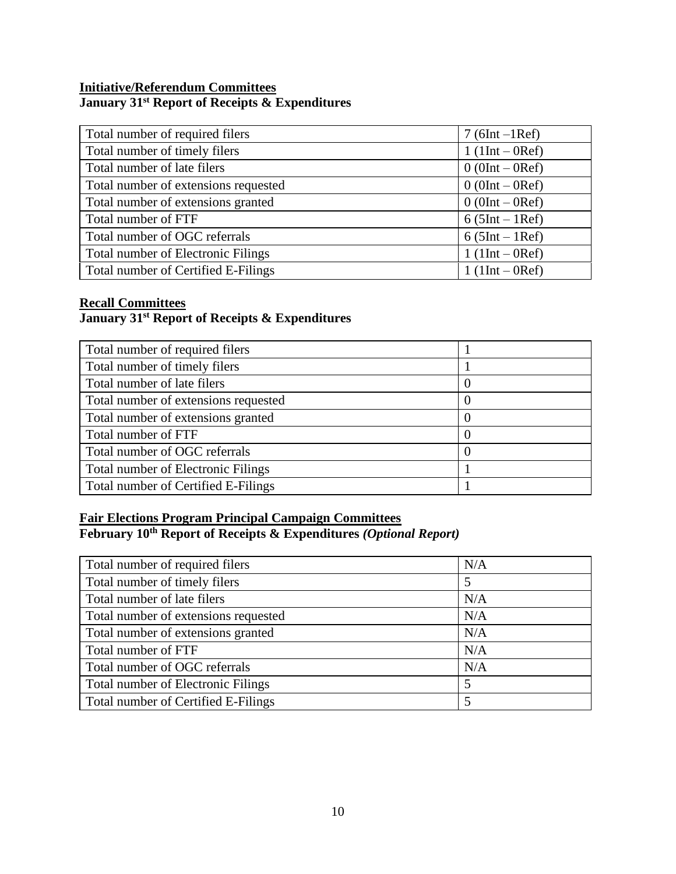## **Initiative/Referendum Committees January 31st Report of Receipts & Expenditures**

| Total number of required filers           | $7(6Int-1Ref)$   |
|-------------------------------------------|------------------|
| Total number of timely filers             | $1(1Int - 0Ref)$ |
| Total number of late filers               | $0(0Int - 0Ref)$ |
| Total number of extensions requested      | $0(0Int - 0Ref)$ |
| Total number of extensions granted        | $0(0Int - 0Ref)$ |
| Total number of FTF                       | $6(5Int - 1Ref)$ |
| Total number of OGC referrals             | $6(5Int - 1Ref)$ |
| <b>Total number of Electronic Filings</b> | $1(1Int - 0Ref)$ |
| Total number of Certified E-Filings       | $1(1Int - 0Ref)$ |

## **Recall Committees**

## **January 31st Report of Receipts & Expenditures**

| Total number of required filers           |          |
|-------------------------------------------|----------|
| Total number of timely filers             |          |
| Total number of late filers               | $\theta$ |
| Total number of extensions requested      | $\theta$ |
| Total number of extensions granted        | $\theta$ |
| Total number of FTF                       | $\theta$ |
| Total number of OGC referrals             | $\theta$ |
| <b>Total number of Electronic Filings</b> |          |
| Total number of Certified E-Filings       |          |

# **Fair Elections Program Principal Campaign Committees**

## **February 10th Report of Receipts & Expenditures** *(Optional Report)*

| Total number of required filers      | N/A |
|--------------------------------------|-----|
| Total number of timely filers        |     |
| Total number of late filers          | N/A |
| Total number of extensions requested | N/A |
| Total number of extensions granted   | N/A |
| Total number of FTF                  | N/A |
| Total number of OGC referrals        | N/A |
| Total number of Electronic Filings   |     |
| Total number of Certified E-Filings  |     |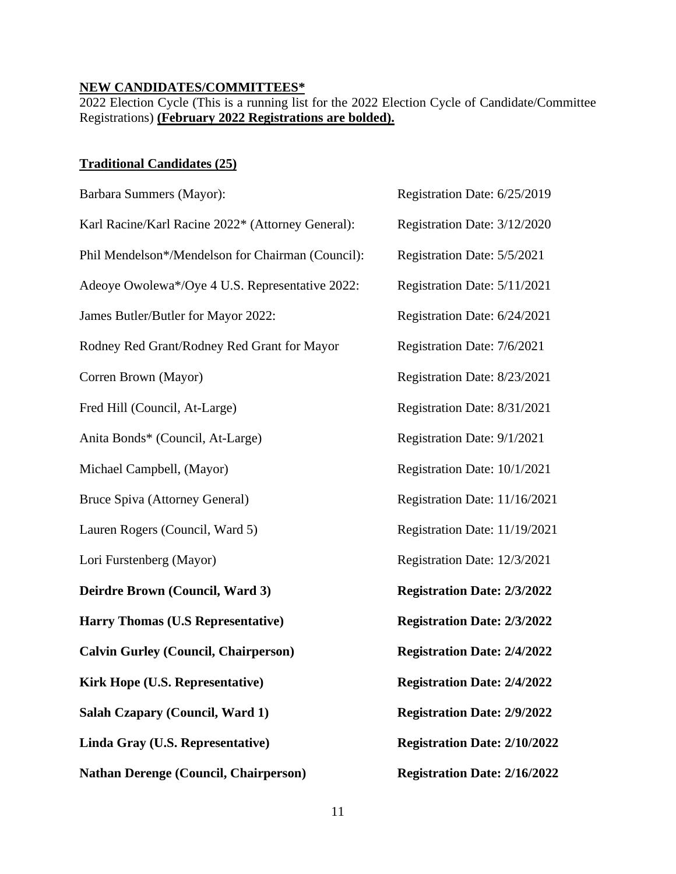#### **NEW CANDIDATES/COMMITTEES\***

2022 Election Cycle (This is a running list for the 2022 Election Cycle of Candidate/Committee Registrations) **(February 2022 Registrations are bolded).**

## **Traditional Candidates (25)**

| Barbara Summers (Mayor):                          | Registration Date: 6/25/2019        |
|---------------------------------------------------|-------------------------------------|
| Karl Racine/Karl Racine 2022* (Attorney General): | Registration Date: 3/12/2020        |
| Phil Mendelson*/Mendelson for Chairman (Council): | Registration Date: 5/5/2021         |
| Adeoye Owolewa*/Oye 4 U.S. Representative 2022:   | Registration Date: 5/11/2021        |
| James Butler/Butler for Mayor 2022:               | Registration Date: 6/24/2021        |
| Rodney Red Grant/Rodney Red Grant for Mayor       | Registration Date: 7/6/2021         |
| Corren Brown (Mayor)                              | Registration Date: 8/23/2021        |
| Fred Hill (Council, At-Large)                     | Registration Date: 8/31/2021        |
| Anita Bonds* (Council, At-Large)                  | Registration Date: 9/1/2021         |
| Michael Campbell, (Mayor)                         | Registration Date: 10/1/2021        |
| Bruce Spiva (Attorney General)                    | Registration Date: 11/16/2021       |
| Lauren Rogers (Council, Ward 5)                   | Registration Date: 11/19/2021       |
| Lori Furstenberg (Mayor)                          | Registration Date: 12/3/2021        |
| Deirdre Brown (Council, Ward 3)                   | <b>Registration Date: 2/3/2022</b>  |
| <b>Harry Thomas (U.S Representative)</b>          | <b>Registration Date: 2/3/2022</b>  |
| <b>Calvin Gurley (Council, Chairperson)</b>       | <b>Registration Date: 2/4/2022</b>  |
| <b>Kirk Hope (U.S. Representative)</b>            | <b>Registration Date: 2/4/2022</b>  |
| Salah Czapary (Council, Ward 1)                   | <b>Registration Date: 2/9/2022</b>  |
| Linda Gray (U.S. Representative)                  | <b>Registration Date: 2/10/2022</b> |
| <b>Nathan Derenge (Council, Chairperson)</b>      | <b>Registration Date: 2/16/2022</b> |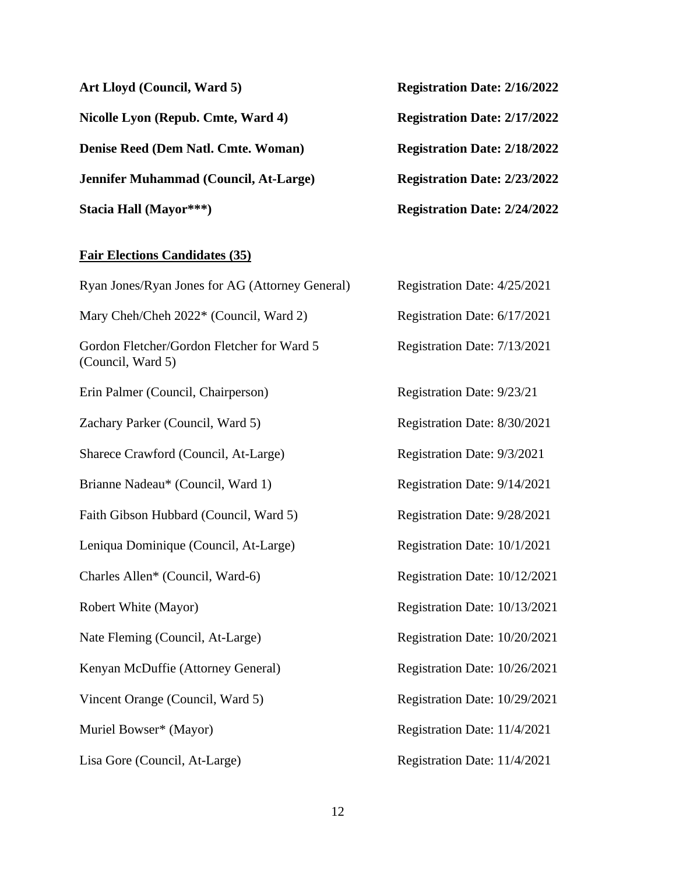| Art Lloyd (Council, Ward 5)           | <b>Registration Date: 2/16/2022</b> |
|---------------------------------------|-------------------------------------|
| Nicolle Lyon (Repub. Cmte, Ward 4)    | <b>Registration Date: 2/17/2022</b> |
| Denise Reed (Dem Natl. Cmte. Woman)   | <b>Registration Date: 2/18/2022</b> |
| Jennifer Muhammad (Council, At-Large) | <b>Registration Date: 2/23/2022</b> |
| Stacia Hall (Mayor***)                | <b>Registration Date: 2/24/2022</b> |

#### **Fair Elections Candidates (35)**

Ryan Jones/Ryan Jones for AG (Attorney General) Mary Cheh/Cheh 2022\* (Council, Ward 2) Gordon Fletcher/Gordon Fletcher for Ward 5 (Council, Ward 5) Erin Palmer (Council, Chairperson) Zachary Parker (Council, Ward 5) Sharece Crawford (Council, At-Large) Brianne Nadeau\* (Council, Ward 1) Faith Gibson Hubbard (Council, Ward 5) Leniqua Dominique (Council, At-Large) Charles Allen\* (Council, Ward-6) Robert White (Mayor) Nate Fleming (Council, At-Large) Kenyan McDuffie (Attorney General) Vincent Orange (Council, Ward 5) Muriel Bowser\* (Mayor) Lisa Gore (Council, At-Large)

| al) | Registration Date: 4/25/2021  |
|-----|-------------------------------|
|     | Registration Date: 6/17/2021  |
|     | Registration Date: 7/13/2021  |
|     |                               |
|     | Registration Date: 9/23/21    |
|     | Registration Date: 8/30/2021  |
|     | Registration Date: 9/3/2021   |
|     | Registration Date: 9/14/2021  |
|     | Registration Date: 9/28/2021  |
|     | Registration Date: 10/1/2021  |
|     | Registration Date: 10/12/2021 |
|     | Registration Date: 10/13/2021 |
|     | Registration Date: 10/20/2021 |
|     | Registration Date: 10/26/2021 |
|     | Registration Date: 10/29/2021 |
|     | Registration Date: 11/4/2021  |
|     | Registration Date: 11/4/2021  |
|     |                               |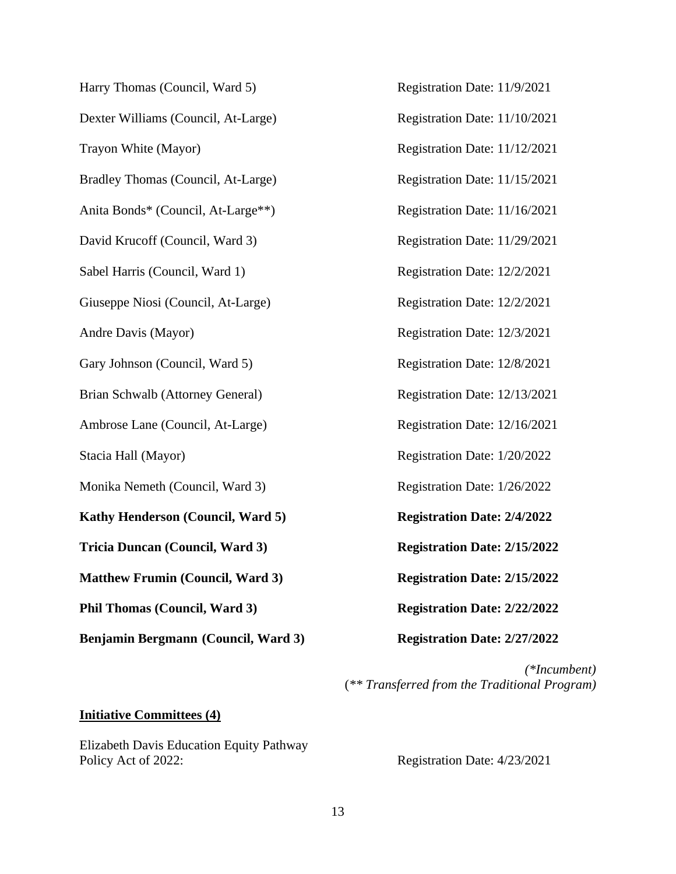Harry Thomas (Council, Ward 5) Registration Date: 11/9/2021 Dexter Williams (Council, At-Large) Registration Date: 11/10/2021 Trayon White (Mayor) Registration Date: 11/12/2021 Bradley Thomas (Council, At-Large) Registration Date: 11/15/2021 Anita Bonds\* (Council, At-Large\*\*) Registration Date: 11/16/2021 David Krucoff (Council, Ward 3) Registration Date: 11/29/2021 Sabel Harris (Council, Ward 1) Registration Date: 12/2/2021 Giuseppe Niosi (Council, At-Large) Registration Date: 12/2/2021 Andre Davis (Mayor) Registration Date: 12/3/2021 Gary Johnson (Council, Ward 5) Registration Date: 12/8/2021 Brian Schwalb (Attorney General) Registration Date: 12/13/2021 Ambrose Lane (Council, At-Large) Registration Date: 12/16/2021 Stacia Hall (Mayor) Registration Date: 1/20/2022 Monika Nemeth (Council, Ward 3) Registration Date:  $1/26/2022$ **Kathy Henderson (Council, Ward 5) Registration Date: 2/4/2022 Tricia Duncan (Council, Ward 3) Registration Date: 2/15/2022 Matthew Frumin** (Council, Ward 3) **Registration Date: 2/15/2022 Phil Thomas** (Council, Ward 3) **Registration Date: 2/22/2022 Benjamin Bergmann (Council, Ward 3) Registration Date: 2/27/2022**

*(\*Incumbent)* (*\*\* Transferred from the Traditional Program)*

#### **Initiative Committees (4)**

Elizabeth Davis Education Equity Pathway Policy Act of 2022: Registration Date:  $4/23/2021$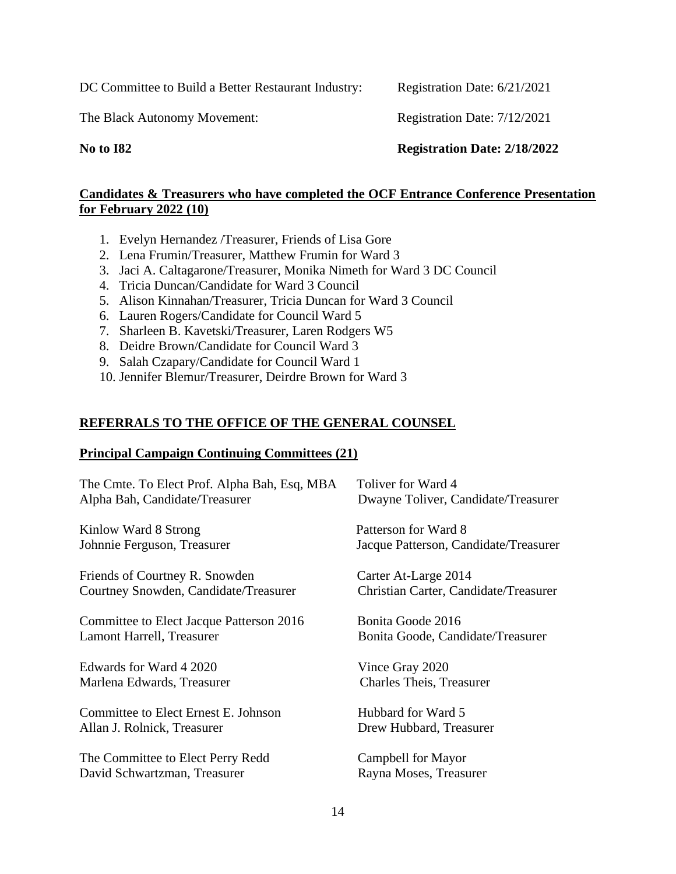DC Committee to Build a Better Restaurant Industry: Registration Date: 6/21/2021

The Black Autonomy Movement: Registration Date: 7/12/2021

**No to I82 Registration Date: 2/18/2022**

#### **Candidates & Treasurers who have completed the OCF Entrance Conference Presentation for February 2022 (10)**

- 1. Evelyn Hernandez /Treasurer, Friends of Lisa Gore
- 2. Lena Frumin/Treasurer, Matthew Frumin for Ward 3
- 3. Jaci A. Caltagarone/Treasurer, Monika Nimeth for Ward 3 DC Council
- 4. Tricia Duncan/Candidate for Ward 3 Council
- 5. Alison Kinnahan/Treasurer, Tricia Duncan for Ward 3 Council
- 6. Lauren Rogers/Candidate for Council Ward 5
- 7. Sharleen B. Kavetski/Treasurer, Laren Rodgers W5
- 8. Deidre Brown/Candidate for Council Ward 3
- 9. Salah Czapary/Candidate for Council Ward 1
- 10. Jennifer Blemur/Treasurer, Deirdre Brown for Ward 3

## **REFERRALS TO THE OFFICE OF THE GENERAL COUNSEL**

#### **Principal Campaign Continuing Committees (21)**

| The Cmte. To Elect Prof. Alpha Bah, Esq, MBA | Toliver for Ward 4                    |
|----------------------------------------------|---------------------------------------|
| Alpha Bah, Candidate/Treasurer               | Dwayne Toliver, Candidate/Treasurer   |
| Kinlow Ward 8 Strong                         | Patterson for Ward 8                  |
| Johnnie Ferguson, Treasurer                  | Jacque Patterson, Candidate/Treasurer |
| Friends of Courtney R. Snowden               | Carter At-Large 2014                  |
| Courtney Snowden, Candidate/Treasurer        | Christian Carter, Candidate/Treasurer |
| Committee to Elect Jacque Patterson 2016     | Bonita Goode 2016                     |
| Lamont Harrell, Treasurer                    | Bonita Goode, Candidate/Treasurer     |
| Edwards for Ward 4 2020                      | Vince Gray 2020                       |
| Marlena Edwards, Treasurer                   | <b>Charles Theis, Treasurer</b>       |
| Committee to Elect Ernest E. Johnson         | Hubbard for Ward 5                    |
| Allan J. Rolnick, Treasurer                  | Drew Hubbard, Treasurer               |
| The Committee to Elect Perry Redd            | Campbell for Mayor                    |
| David Schwartzman, Treasurer                 | Rayna Moses, Treasurer                |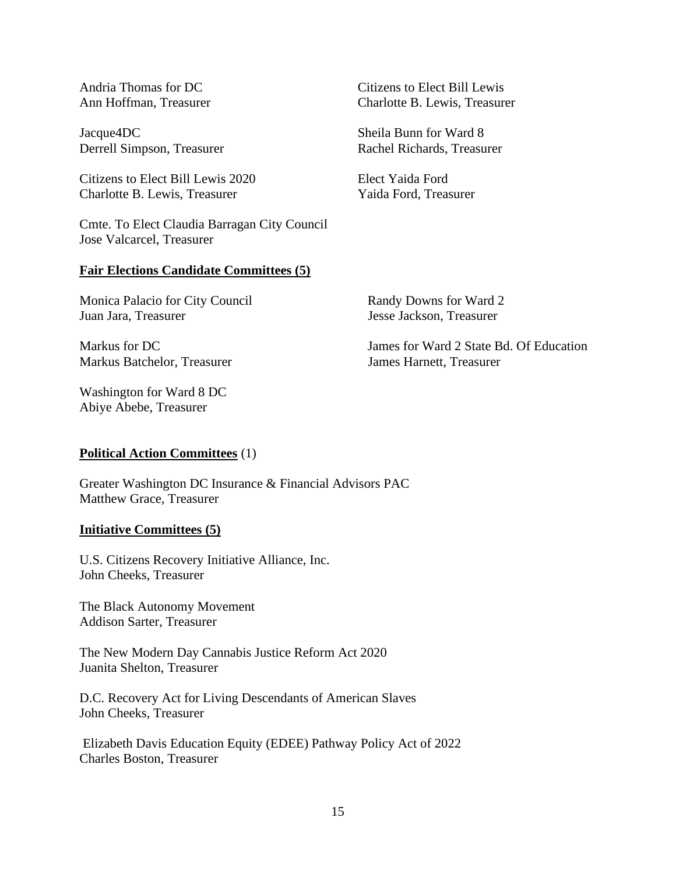Jacque4DC Sheila Bunn for Ward 8 Derrell Simpson, Treasurer Rachel Richards, Treasurer

Citizens to Elect Bill Lewis 2020 Elect Yaida Ford Charlotte B. Lewis, Treasurer Yaida Ford, Treasurer

Cmte. To Elect Claudia Barragan City Council Jose Valcarcel, Treasurer

#### **Fair Elections Candidate Committees (5)**

Monica Palacio for City Council Randy Downs for Ward 2 Juan Jara, Treasurer Jesse Jackson, Treasurer

Markus Batchelor, Treasurer James Harnett, Treasurer

Washington for Ward 8 DC Abiye Abebe, Treasurer

#### **Political Action Committees** (1)

Greater Washington DC Insurance & Financial Advisors PAC Matthew Grace, Treasurer

#### **Initiative Committees (5)**

U.S. Citizens Recovery Initiative Alliance, Inc. John Cheeks, Treasurer

The Black Autonomy Movement Addison Sarter, Treasurer

The New Modern Day Cannabis Justice Reform Act 2020 Juanita Shelton, Treasurer

D.C. Recovery Act for Living Descendants of American Slaves John Cheeks, Treasurer

Elizabeth Davis Education Equity (EDEE) Pathway Policy Act of 2022 Charles Boston, Treasurer

Andria Thomas for DC Citizens to Elect Bill Lewis Ann Hoffman, Treasurer Charlotte B. Lewis, Treasurer

Markus for DC James for Ward 2 State Bd. Of Education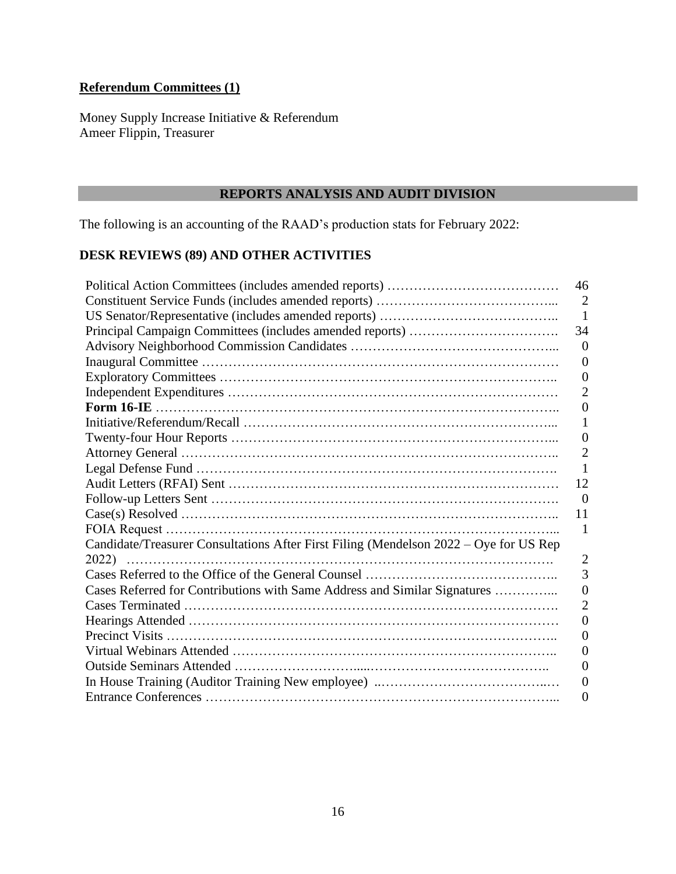## **Referendum Committees (1)**

Money Supply Increase Initiative & Referendum Ameer Flippin, Treasurer

## **REPORTS ANALYSIS AND AUDIT DIVISION**

The following is an accounting of the RAAD's production stats for February 2022:

## **DESK REVIEWS (89) AND OTHER ACTIVITIES**

|                                                                                       | 46               |
|---------------------------------------------------------------------------------------|------------------|
|                                                                                       | $\overline{2}$   |
|                                                                                       | 1                |
|                                                                                       | 34               |
|                                                                                       | $\overline{0}$   |
|                                                                                       | $\Omega$         |
|                                                                                       | $\boldsymbol{0}$ |
|                                                                                       | 2                |
|                                                                                       | 0                |
|                                                                                       |                  |
|                                                                                       | $\boldsymbol{0}$ |
|                                                                                       | 2                |
|                                                                                       |                  |
|                                                                                       | 12               |
|                                                                                       | $\overline{0}$   |
|                                                                                       | 11               |
|                                                                                       |                  |
| Candidate/Treasurer Consultations After First Filing (Mendelson 2022 – Oye for US Rep |                  |
|                                                                                       | 2                |
|                                                                                       | 3                |
| Cases Referred for Contributions with Same Address and Similar Signatures             | 0                |
|                                                                                       | 2                |
|                                                                                       | 0                |
|                                                                                       | 0                |
|                                                                                       | 0                |
|                                                                                       | $\left( \right)$ |
|                                                                                       | $\theta$         |
|                                                                                       | 0                |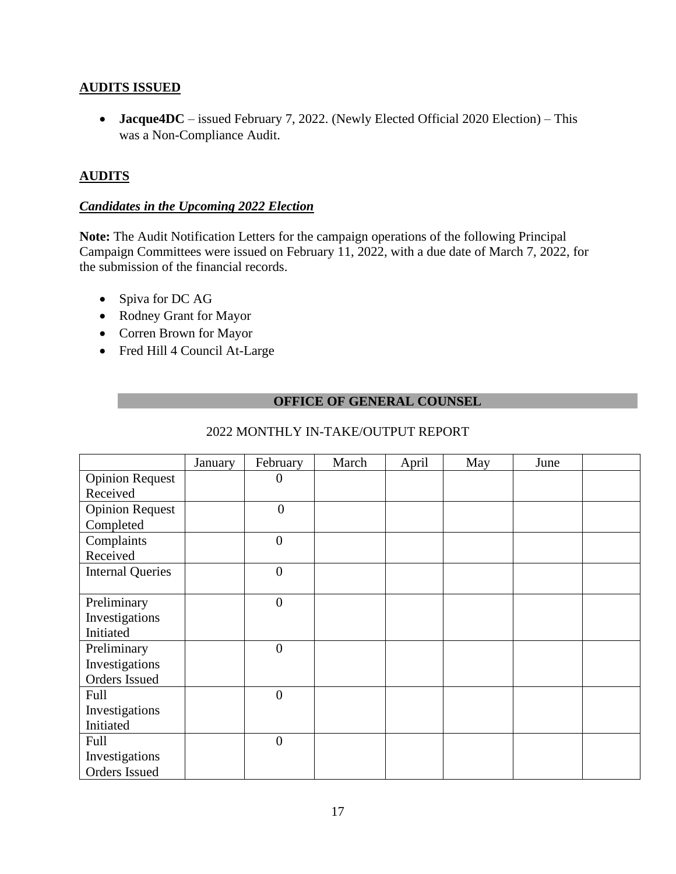## **AUDITS ISSUED**

• **Jacque4DC** – issued February 7, 2022. (Newly Elected Official 2020 Election) – This was a Non-Compliance Audit.

## **AUDITS**

## *Candidates in the Upcoming 2022 Election*

**Note:** The Audit Notification Letters for the campaign operations of the following Principal Campaign Committees were issued on February 11, 2022, with a due date of March 7, 2022, for the submission of the financial records.

- Spiva for DC AG
- Rodney Grant for Mayor
- Corren Brown for Mayor
- Fred Hill 4 Council At-Large

#### **OFFICE OF GENERAL COUNSEL**

|                         | January | February         | March | April | May | June |  |
|-------------------------|---------|------------------|-------|-------|-----|------|--|
| <b>Opinion Request</b>  |         | $\theta$         |       |       |     |      |  |
| Received                |         |                  |       |       |     |      |  |
| <b>Opinion Request</b>  |         | $\overline{0}$   |       |       |     |      |  |
| Completed               |         |                  |       |       |     |      |  |
| Complaints              |         | $\overline{0}$   |       |       |     |      |  |
| Received                |         |                  |       |       |     |      |  |
| <b>Internal Queries</b> |         | $\overline{0}$   |       |       |     |      |  |
|                         |         |                  |       |       |     |      |  |
| Preliminary             |         | $\overline{0}$   |       |       |     |      |  |
| Investigations          |         |                  |       |       |     |      |  |
| Initiated               |         |                  |       |       |     |      |  |
| Preliminary             |         | $\boldsymbol{0}$ |       |       |     |      |  |
| Investigations          |         |                  |       |       |     |      |  |
| Orders Issued           |         |                  |       |       |     |      |  |
| Full                    |         | $\boldsymbol{0}$ |       |       |     |      |  |
| Investigations          |         |                  |       |       |     |      |  |
| Initiated               |         |                  |       |       |     |      |  |
| Full                    |         | $\overline{0}$   |       |       |     |      |  |
| Investigations          |         |                  |       |       |     |      |  |
| Orders Issued           |         |                  |       |       |     |      |  |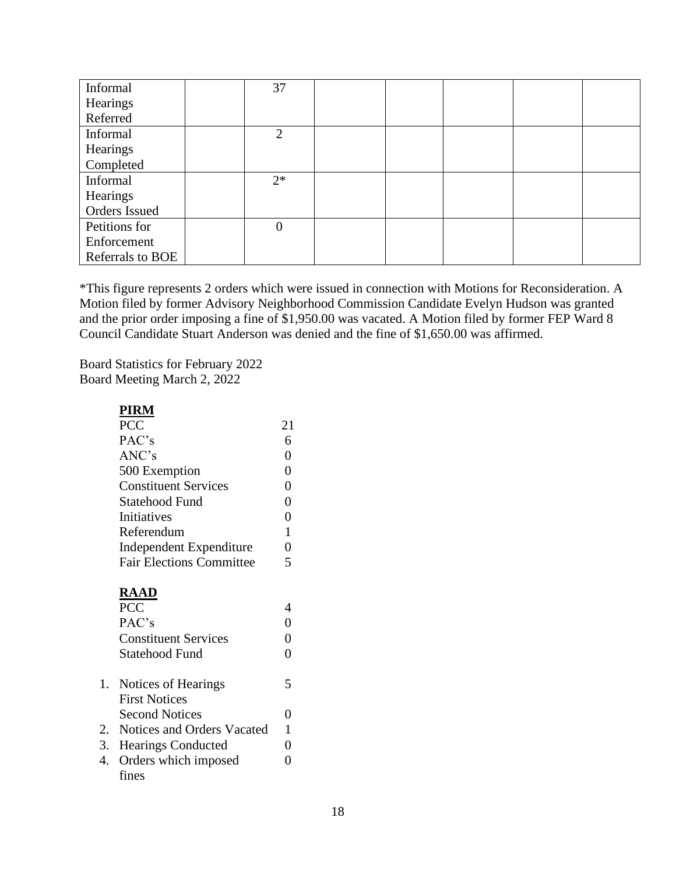| Informal         | 37             |  |  |  |
|------------------|----------------|--|--|--|
| Hearings         |                |  |  |  |
| Referred         |                |  |  |  |
| Informal         | $\overline{2}$ |  |  |  |
| Hearings         |                |  |  |  |
| Completed        |                |  |  |  |
| Informal         | $2*$           |  |  |  |
| Hearings         |                |  |  |  |
| Orders Issued    |                |  |  |  |
| Petitions for    | $\overline{0}$ |  |  |  |
| Enforcement      |                |  |  |  |
| Referrals to BOE |                |  |  |  |

\*This figure represents 2 orders which were issued in connection with Motions for Reconsideration. A Motion filed by former Advisory Neighborhood Commission Candidate Evelyn Hudson was granted and the prior order imposing a fine of \$1,950.00 was vacated. A Motion filed by former FEP Ward 8 Council Candidate Stuart Anderson was denied and the fine of \$1,650.00 was affirmed.

Board Statistics for February 2022 Board Meeting March 2, 2022

## **PIRM**

| PCC                             | 21 |  |
|---------------------------------|----|--|
| PAC's                           | 6  |  |
| ANC's                           |    |  |
| 500 Exemption                   |    |  |
| <b>Constituent Services</b>     |    |  |
| Statehood Fund                  |    |  |
| Initiatives                     |    |  |
| Referendum                      |    |  |
| Independent Expenditure         |    |  |
| <b>Fair Elections Committee</b> |    |  |

## **RAAD**

| <b>PCC</b>                  |                                                                                                             |  |
|-----------------------------|-------------------------------------------------------------------------------------------------------------|--|
|                             |                                                                                                             |  |
| PAC's                       |                                                                                                             |  |
| <b>Constituent Services</b> |                                                                                                             |  |
| Statehood Fund              |                                                                                                             |  |
|                             | 5                                                                                                           |  |
| <b>First Notices</b>        |                                                                                                             |  |
| <b>Second Notices</b>       |                                                                                                             |  |
|                             |                                                                                                             |  |
|                             |                                                                                                             |  |
|                             |                                                                                                             |  |
| fines                       |                                                                                                             |  |
|                             | 1. Notices of Hearings<br>2. Notices and Orders Vacated<br>3. Hearings Conducted<br>4. Orders which imposed |  |